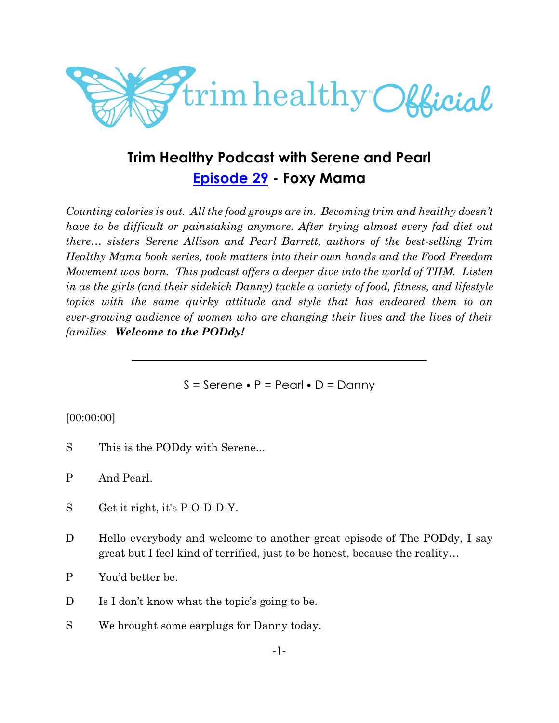

# **Trim Healthy Podcast with Serene and Pearl [Episode 29](https://cms.megaphone.fm/channel/trimhealthypodcast?selected=ADL7663702683) - Foxy Mama**

*Counting calories is out. All the food groups are in. Becoming trim and healthy doesn't have to be difficult or painstaking anymore. After trying almost every fad diet out there… sisters Serene Allison and Pearl Barrett, authors of the best-selling Trim Healthy Mama book series, took matters into their own hands and the Food Freedom Movement was born. This podcast offers a deeper dive into the world of THM. Listen in as the girls (and their sidekick Danny) tackle a variety of food, fitness, and lifestyle topics with the same quirky attitude and style that has endeared them to an ever-growing audience of women who are changing their lives and the lives of their families. Welcome to the PODdy!*

 $S =$  Serene  $\bullet$  P = Pearl  $\bullet$  D = Danny

## [00:00:00]

- S This is the PODdy with Serene...
- P And Pearl.
- S Get it right, it's P-O-D-D-Y.
- D Hello everybody and welcome to another great episode of The PODdy, I say great but I feel kind of terrified, just to be honest, because the reality…
- P You'd better be.
- D Is I don't know what the topic's going to be.
- S We brought some earplugs for Danny today.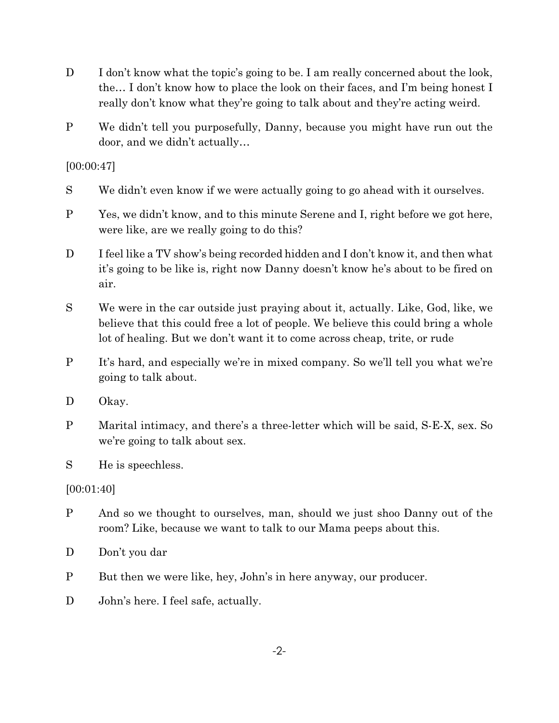- D I don't know what the topic's going to be. I am really concerned about the look, the… I don't know how to place the look on their faces, and I'm being honest I really don't know what they're going to talk about and they're acting weird.
- P We didn't tell you purposefully, Danny, because you might have run out the door, and we didn't actually…

[00:00:47]

- S We didn't even know if we were actually going to go ahead with it ourselves.
- P Yes, we didn't know, and to this minute Serene and I, right before we got here, were like, are we really going to do this?
- D I feel like a TV show's being recorded hidden and I don't know it, and then what it's going to be like is, right now Danny doesn't know he's about to be fired on air.
- S We were in the car outside just praying about it, actually. Like, God, like, we believe that this could free a lot of people. We believe this could bring a whole lot of healing. But we don't want it to come across cheap, trite, or rude
- P It's hard, and especially we're in mixed company. So we'll tell you what we're going to talk about.
- D Okay.
- P Marital intimacy, and there's a three-letter which will be said, S-E-X, sex. So we're going to talk about sex.

S He is speechless.

[00:01:40]

- P And so we thought to ourselves, man, should we just shoo Danny out of the room? Like, because we want to talk to our Mama peeps about this.
- D Don't you dar
- P But then we were like, hey, John's in here anyway, our producer.
- D John's here. I feel safe, actually.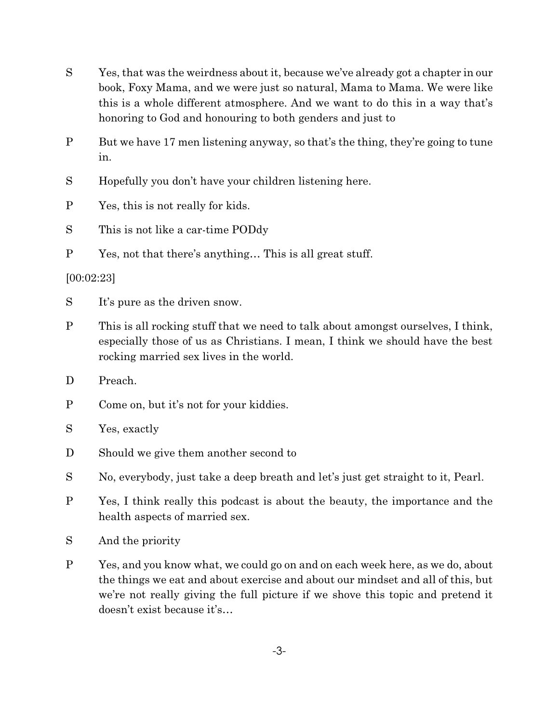- S Yes, that was the weirdness about it, because we've already got a chapter in our book, Foxy Mama, and we were just so natural, Mama to Mama. We were like this is a whole different atmosphere. And we want to do this in a way that's honoring to God and honouring to both genders and just to
- P But we have 17 men listening anyway, so that's the thing, they're going to tune in.
- S Hopefully you don't have your children listening here.

P Yes, this is not really for kids.

- S This is not like a car-time PODdy
- P Yes, not that there's anything… This is all great stuff.

## [00:02:23]

- S It's pure as the driven snow.
- P This is all rocking stuff that we need to talk about amongst ourselves, I think, especially those of us as Christians. I mean, I think we should have the best rocking married sex lives in the world.
- D Preach.
- P Come on, but it's not for your kiddies.
- S Yes, exactly
- D Should we give them another second to
- S No, everybody, just take a deep breath and let's just get straight to it, Pearl.
- P Yes, I think really this podcast is about the beauty, the importance and the health aspects of married sex.
- S And the priority
- P Yes, and you know what, we could go on and on each week here, as we do, about the things we eat and about exercise and about our mindset and all of this, but we're not really giving the full picture if we shove this topic and pretend it doesn't exist because it's…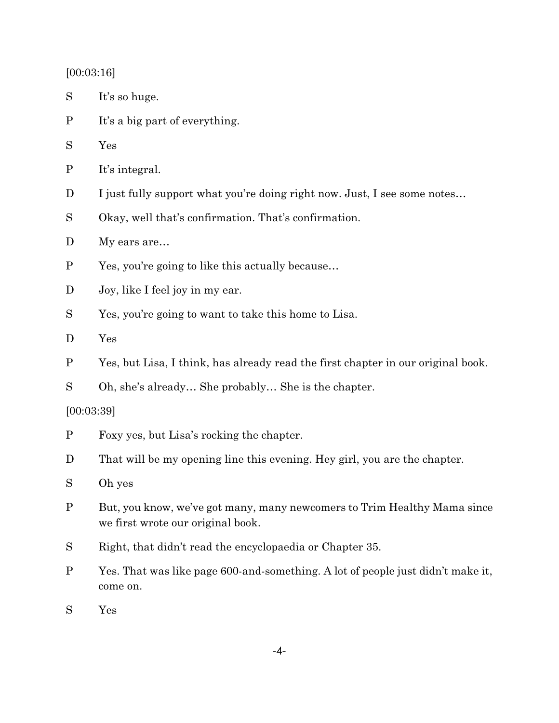[00:03:16]

| S | It's so huge. |  |
|---|---------------|--|
|---|---------------|--|

P It's a big part of everything.

S Yes

- P It's integral.
- D I just fully support what you're doing right now. Just, I see some notes...
- S Okay, well that's confirmation. That's confirmation.
- D My ears are...
- P Yes, you're going to like this actually because…
- D Joy, like I feel joy in my ear.
- S Yes, you're going to want to take this home to Lisa.
- D Yes
- P Yes, but Lisa, I think, has already read the first chapter in our original book.
- S Oh, she's already… She probably… She is the chapter.

#### [00:03:39]

- P Foxy yes, but Lisa's rocking the chapter.
- D That will be my opening line this evening. Hey girl, you are the chapter.
- S Oh yes
- P But, you know, we've got many, many newcomers to Trim Healthy Mama since we first wrote our original book.
- S Right, that didn't read the encyclopaedia or Chapter 35.
- P Yes. That was like page 600-and-something. A lot of people just didn't make it, come on.
- S Yes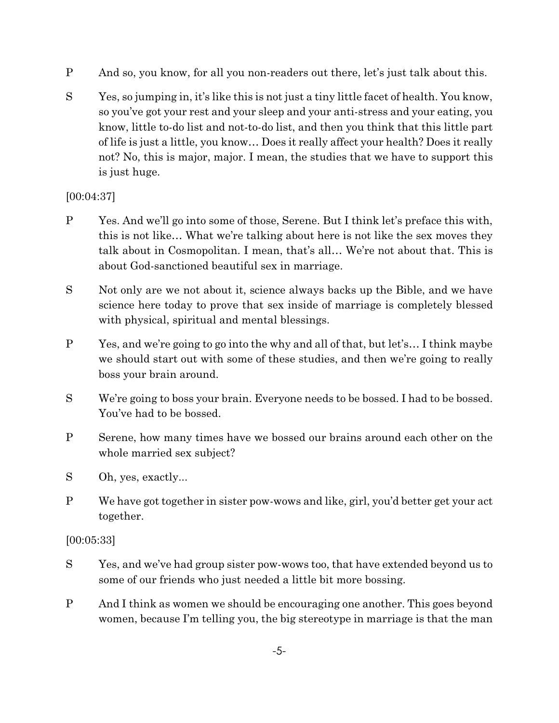- P And so, you know, for all you non-readers out there, let's just talk about this.
- S Yes, so jumping in, it's like this is not just a tiny little facet of health. You know, so you've got your rest and your sleep and your anti-stress and your eating, you know, little to-do list and not-to-do list, and then you think that this little part of life is just a little, you know… Does it really affect your health? Does it really not? No, this is major, major. I mean, the studies that we have to support this is just huge.

[00:04:37]

- P Yes. And we'll go into some of those, Serene. But I think let's preface this with, this is not like… What we're talking about here is not like the sex moves they talk about in Cosmopolitan. I mean, that's all… We're not about that. This is about God-sanctioned beautiful sex in marriage.
- S Not only are we not about it, science always backs up the Bible, and we have science here today to prove that sex inside of marriage is completely blessed with physical, spiritual and mental blessings.
- P Yes, and we're going to go into the why and all of that, but let's… I think maybe we should start out with some of these studies, and then we're going to really boss your brain around.
- S We're going to boss your brain. Everyone needs to be bossed. I had to be bossed. You've had to be bossed.
- P Serene, how many times have we bossed our brains around each other on the whole married sex subject?
- S Oh, yes, exactly...
- P We have got together in sister pow-wows and like, girl, you'd better get your act together.

[00:05:33]

- S Yes, and we've had group sister pow-wows too, that have extended beyond us to some of our friends who just needed a little bit more bossing.
- P And I think as women we should be encouraging one another. This goes beyond women, because I'm telling you, the big stereotype in marriage is that the man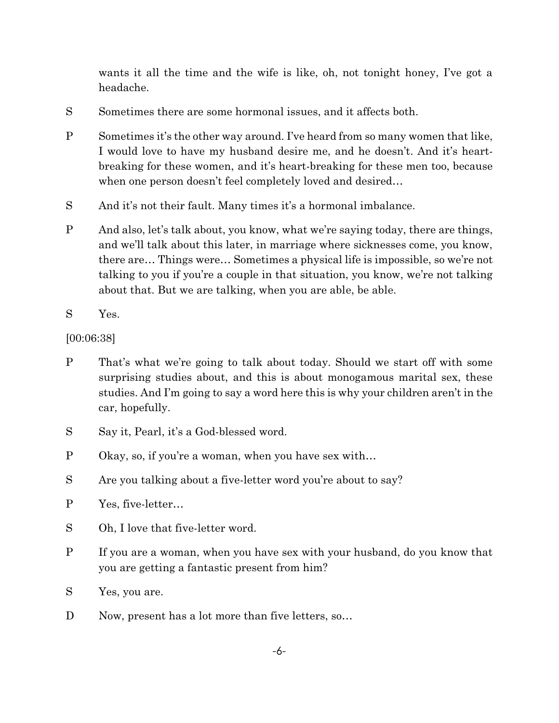wants it all the time and the wife is like, oh, not tonight honey, I've got a headache.

- S Sometimes there are some hormonal issues, and it affects both.
- P Sometimes it's the other way around. I've heard from so many women that like, I would love to have my husband desire me, and he doesn't. And it's heartbreaking for these women, and it's heart-breaking for these men too, because when one person doesn't feel completely loved and desired…
- S And it's not their fault. Many times it's a hormonal imbalance.
- P And also, let's talk about, you know, what we're saying today, there are things, and we'll talk about this later, in marriage where sicknesses come, you know, there are… Things were… Sometimes a physical life is impossible, so we're not talking to you if you're a couple in that situation, you know, we're not talking about that. But we are talking, when you are able, be able.
- S Yes.

## [00:06:38]

- P That's what we're going to talk about today. Should we start off with some surprising studies about, and this is about monogamous marital sex, these studies. And I'm going to say a word here this is why your children aren't in the car, hopefully.
- S Say it, Pearl, it's a God-blessed word.
- P Okay, so, if you're a woman, when you have sex with…
- S Are you talking about a five-letter word you're about to say?
- P Yes, five-letter…
- S Oh, I love that five-letter word.
- P If you are a woman, when you have sex with your husband, do you know that you are getting a fantastic present from him?
- S Yes, you are.
- D Now, present has a lot more than five letters, so...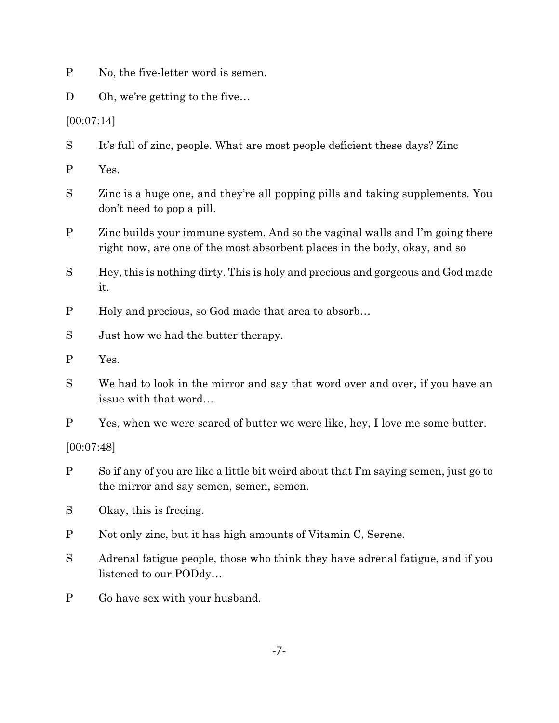P No, the five-letter word is semen.

D Oh, we're getting to the five...

[00:07:14]

S It's full of zinc, people. What are most people deficient these days? Zinc

P Yes.

S Zinc is a huge one, and they're all popping pills and taking supplements. You don't need to pop a pill.

P Zinc builds your immune system. And so the vaginal walls and I'm going there right now, are one of the most absorbent places in the body, okay, and so

S Hey, this is nothing dirty. This is holy and precious and gorgeous and God made it.

P Holy and precious, so God made that area to absorb…

S Just how we had the butter therapy.

- P Yes.
- S We had to look in the mirror and say that word over and over, if you have an issue with that word…
- P Yes, when we were scared of butter we were like, hey, I love me some butter.

[00:07:48]

- P So if any of you are like a little bit weird about that I'm saying semen, just go to the mirror and say semen, semen, semen.
- S Okay, this is freeing.
- P Not only zinc, but it has high amounts of Vitamin C, Serene.
- S Adrenal fatigue people, those who think they have adrenal fatigue, and if you listened to our PODdy…
- P Go have sex with your husband.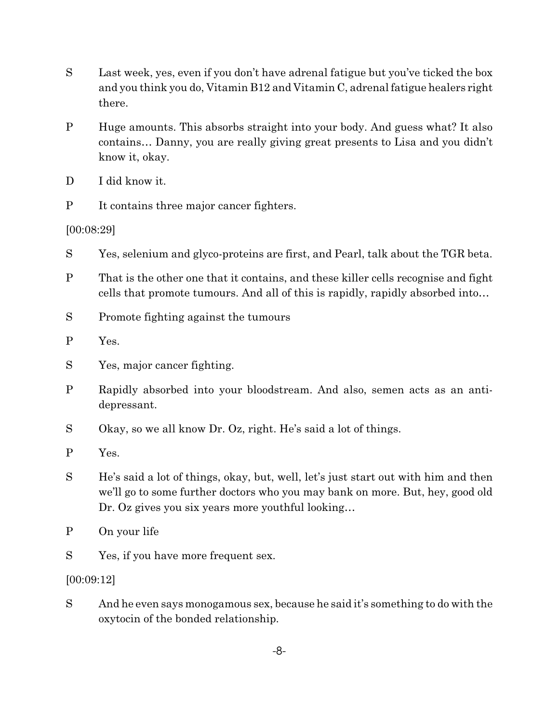- S Last week, yes, even if you don't have adrenal fatigue but you've ticked the box and you think you do, Vitamin B12 and Vitamin C, adrenal fatigue healers right there.
- P Huge amounts. This absorbs straight into your body. And guess what? It also contains… Danny, you are really giving great presents to Lisa and you didn't know it, okay.
- D I did know it.
- P It contains three major cancer fighters.

[00:08:29]

- S Yes, selenium and glyco-proteins are first, and Pearl, talk about the TGR beta.
- P That is the other one that it contains, and these killer cells recognise and fight cells that promote tumours. And all of this is rapidly, rapidly absorbed into…
- S Promote fighting against the tumours
- P Yes.
- S Yes, major cancer fighting.
- P Rapidly absorbed into your bloodstream. And also, semen acts as an antidepressant.
- S Okay, so we all know Dr. Oz, right. He's said a lot of things.
- P Yes.
- S He's said a lot of things, okay, but, well, let's just start out with him and then we'll go to some further doctors who you may bank on more. But, hey, good old Dr. Oz gives you six years more youthful looking…
- P On your life
- S Yes, if you have more frequent sex.

## [00:09:12]

S And he even says monogamous sex, because he said it's something to do with the oxytocin of the bonded relationship.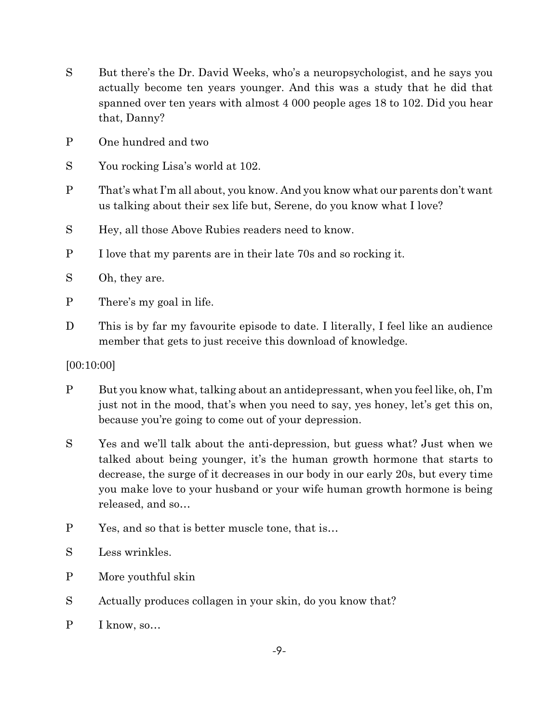- S But there's the Dr. David Weeks, who's a neuropsychologist, and he says you actually become ten years younger. And this was a study that he did that spanned over ten years with almost 4 000 people ages 18 to 102. Did you hear that, Danny?
- P One hundred and two
- S You rocking Lisa's world at 102.
- P That's what I'm all about, you know. And you know what our parents don't want us talking about their sex life but, Serene, do you know what I love?
- S Hey, all those Above Rubies readers need to know.
- P I love that my parents are in their late 70s and so rocking it.
- S Oh, they are.
- P There's my goal in life.
- D This is by far my favourite episode to date. I literally, I feel like an audience member that gets to just receive this download of knowledge.

#### [00:10:00]

- P But you know what, talking about an antidepressant, when you feel like, oh, I'm just not in the mood, that's when you need to say, yes honey, let's get this on, because you're going to come out of your depression.
- S Yes and we'll talk about the anti-depression, but guess what? Just when we talked about being younger, it's the human growth hormone that starts to decrease, the surge of it decreases in our body in our early 20s, but every time you make love to your husband or your wife human growth hormone is being released, and so…
- P Yes, and so that is better muscle tone, that is…
- S Less wrinkles.
- P More youthful skin
- S Actually produces collagen in your skin, do you know that?
- P I know, so…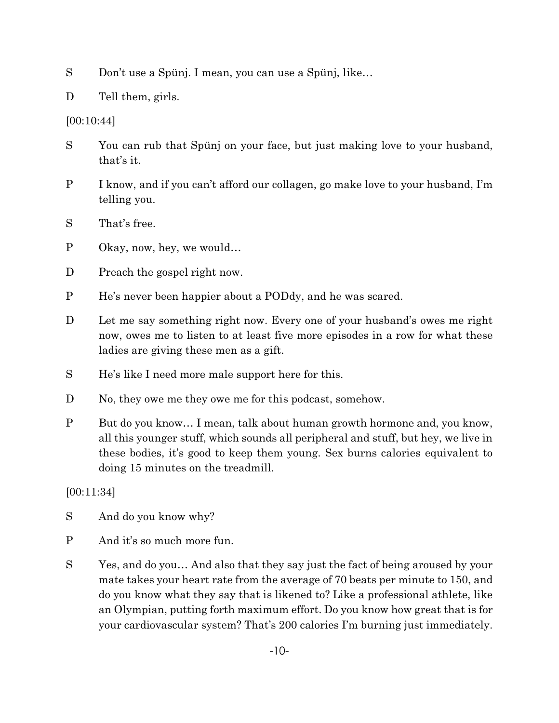S Don't use a Spünj. I mean, you can use a Spünj, like…

D Tell them, girls.

[00:10:44]

- S You can rub that Spünj on your face, but just making love to your husband, that's it.
- P I know, and if you can't afford our collagen, go make love to your husband, I'm telling you.
- S That's free.
- P Okay, now, hey, we would…
- D Preach the gospel right now.
- P He's never been happier about a PODdy, and he was scared.
- D Let me say something right now. Every one of your husband's owes me right now, owes me to listen to at least five more episodes in a row for what these ladies are giving these men as a gift.
- S He's like I need more male support here for this.
- D No, they owe me they owe me for this podcast, somehow.
- P But do you know... I mean, talk about human growth hormone and, you know, all this younger stuff, which sounds all peripheral and stuff, but hey, we live in these bodies, it's good to keep them young. Sex burns calories equivalent to doing 15 minutes on the treadmill.

[00:11:34]

- S And do you know why?
- P And it's so much more fun.
- S Yes, and do you… And also that they say just the fact of being aroused by your mate takes your heart rate from the average of 70 beats per minute to 150, and do you know what they say that is likened to? Like a professional athlete, like an Olympian, putting forth maximum effort. Do you know how great that is for your cardiovascular system? That's 200 calories I'm burning just immediately.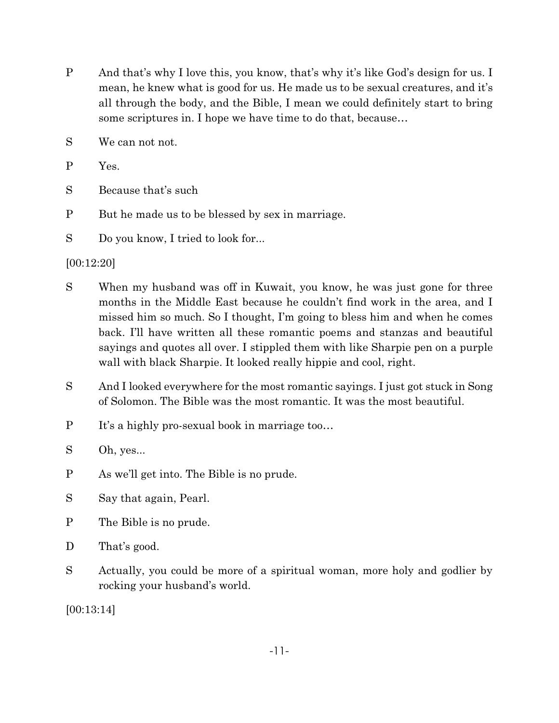- P And that's why I love this, you know, that's why it's like God's design for us. I mean, he knew what is good for us. He made us to be sexual creatures, and it's all through the body, and the Bible, I mean we could definitely start to bring some scriptures in. I hope we have time to do that, because…
- S We can not not.
- P Yes.
- S Because that's such
- P But he made us to be blessed by sex in marriage.

S Do you know, I tried to look for...

#### [00:12:20]

- S When my husband was off in Kuwait, you know, he was just gone for three months in the Middle East because he couldn't find work in the area, and I missed him so much. So I thought, I'm going to bless him and when he comes back. I'll have written all these romantic poems and stanzas and beautiful sayings and quotes all over. I stippled them with like Sharpie pen on a purple wall with black Sharpie. It looked really hippie and cool, right.
- S And I looked everywhere for the most romantic sayings. I just got stuck in Song of Solomon. The Bible was the most romantic. It was the most beautiful.
- P It's a highly pro-sexual book in marriage too…
- S Oh, yes...
- P As we'll get into. The Bible is no prude.
- S Say that again, Pearl.
- P The Bible is no prude.
- D That's good.
- S Actually, you could be more of a spiritual woman, more holy and godlier by rocking your husband's world.

[00:13:14]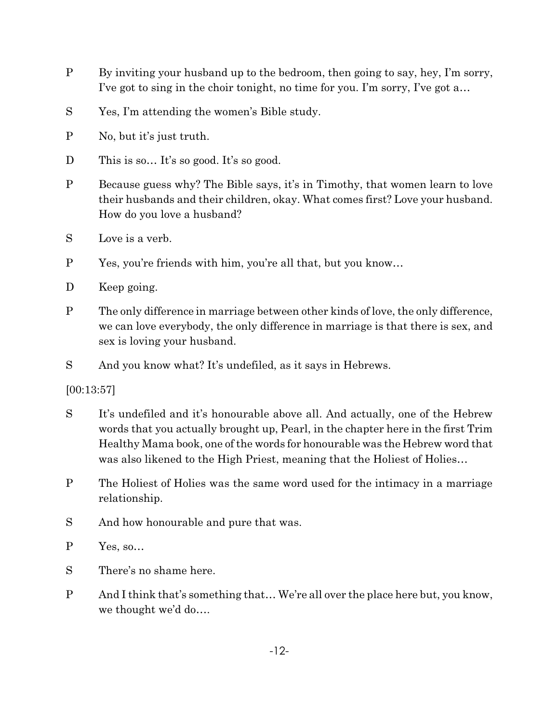- P By inviting your husband up to the bedroom, then going to say, hey, I'm sorry, I've got to sing in the choir tonight, no time for you. I'm sorry, I've got a…
- S Yes, I'm attending the women's Bible study.
- P No, but it's just truth.
- D This is so... It's so good. It's so good.
- P Because guess why? The Bible says, it's in Timothy, that women learn to love their husbands and their children, okay. What comes first? Love your husband. How do you love a husband?
- S Love is a verb.
- P Yes, you're friends with him, you're all that, but you know…
- D Keep going.
- P The only difference in marriage between other kinds of love, the only difference, we can love everybody, the only difference in marriage is that there is sex, and sex is loving your husband.
- S And you know what? It's undefiled, as it says in Hebrews.

[00:13:57]

- S It's undefiled and it's honourable above all. And actually, one of the Hebrew words that you actually brought up, Pearl, in the chapter here in the first Trim Healthy Mama book, one of the words for honourable was the Hebrew word that was also likened to the High Priest, meaning that the Holiest of Holies...
- P The Holiest of Holies was the same word used for the intimacy in a marriage relationship.
- S And how honourable and pure that was.
- P Yes, so…
- S There's no shame here.
- P And I think that's something that… We're all over the place here but, you know, we thought we'd do….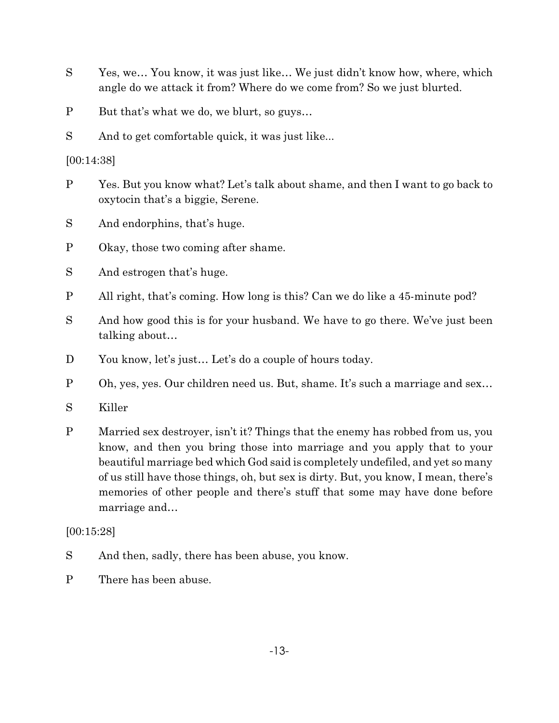- S Yes, we… You know, it was just like… We just didn't know how, where, which angle do we attack it from? Where do we come from? So we just blurted.
- P But that's what we do, we blurt, so guys…
- S And to get comfortable quick, it was just like...

[00:14:38]

- P Yes. But you know what? Let's talk about shame, and then I want to go back to oxytocin that's a biggie, Serene.
- S And endorphins, that's huge.
- P Okay, those two coming after shame.
- S And estrogen that's huge.
- P All right, that's coming. How long is this? Can we do like a 45-minute pod?
- S And how good this is for your husband. We have to go there. We've just been talking about…
- D You know, let's just... Let's do a couple of hours today.
- P Oh, yes, yes. Our children need us. But, shame. It's such a marriage and sex…
- S Killer
- P Married sex destroyer, isn't it? Things that the enemy has robbed from us, you know, and then you bring those into marriage and you apply that to your beautiful marriage bed which God said is completely undefiled, and yet so many of us still have those things, oh, but sex is dirty. But, you know, I mean, there's memories of other people and there's stuff that some may have done before marriage and…

## [00:15:28]

- S And then, sadly, there has been abuse, you know.
- P There has been abuse.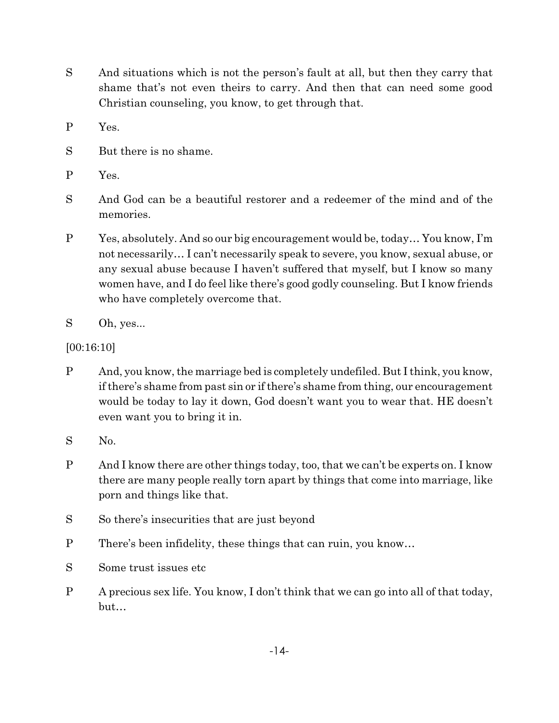- S And situations which is not the person's fault at all, but then they carry that shame that's not even theirs to carry. And then that can need some good Christian counseling, you know, to get through that.
- P Yes.
- S But there is no shame.
- P Yes.
- S And God can be a beautiful restorer and a redeemer of the mind and of the memories.
- P Yes, absolutely. And so our big encouragement would be, today… You know, I'm not necessarily… I can't necessarily speak to severe, you know, sexual abuse, or any sexual abuse because I haven't suffered that myself, but I know so many women have, and I do feel like there's good godly counseling. But I know friends who have completely overcome that.
- S Oh, yes...
- [00:16:10]
- P And, you know, the marriage bed is completely undefiled. But I think, you know, ifthere's shame from past sin or if there's shame from thing, our encouragement would be today to lay it down, God doesn't want you to wear that. HE doesn't even want you to bring it in.
- S No.
- P And I know there are other things today, too, that we can't be experts on. I know there are many people really torn apart by things that come into marriage, like porn and things like that.
- S So there's insecurities that are just beyond
- P There's been infidelity, these things that can ruin, you know…
- S Some trust issues etc
- P A precious sex life. You know, I don't think that we can go into all of that today, but…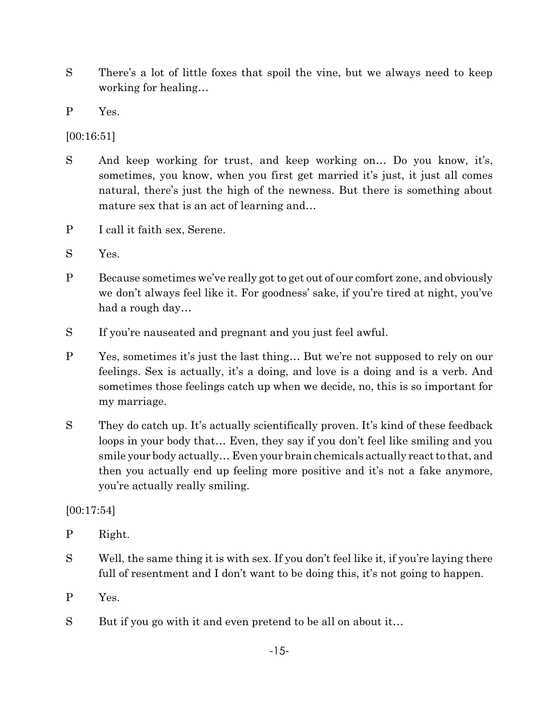- S There's a lot of little foxes that spoil the vine, but we always need to keep working for healing…
- P Yes.

[00:16:51]

- S And keep working for trust, and keep working on... Do you know, it's, sometimes, you know, when you first get married it's just, it just all comes natural, there's just the high of the newness. But there is something about mature sex that is an act of learning and…
- P I call it faith sex, Serene.
- S Yes.
- P Because sometimes we've really got to get out of our comfort zone, and obviously we don't always feel like it. For goodness' sake, if you're tired at night, you've had a rough day…
- S If you're nauseated and pregnant and you just feel awful.
- P Yes, sometimes it's just the last thing… But we're not supposed to rely on our feelings. Sex is actually, it's a doing, and love is a doing and is a verb. And sometimes those feelings catch up when we decide, no, this is so important for my marriage.
- S They do catch up. It's actually scientifically proven. It's kind of these feedback loops in your body that… Even, they say if you don't feel like smiling and you smile your body actually… Even your brain chemicals actually react to that, and then you actually end up feeling more positive and it's not a fake anymore, you're actually really smiling.

 $[00:17:54]$ 

- P Right.
- S Well, the same thing it is with sex. If you don't feel like it, if you're laying there full of resentment and I don't want to be doing this, it's not going to happen.
- P Yes.
- S But if you go with it and even pretend to be all on about it...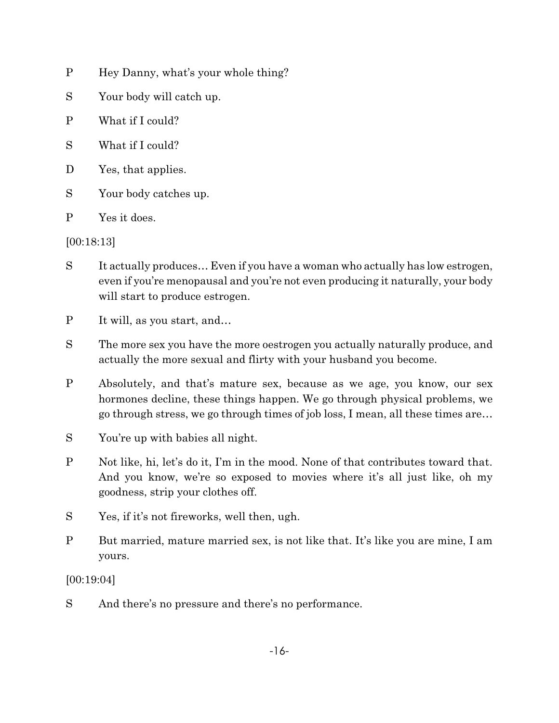- P Hey Danny, what's your whole thing?
- S Your body will catch up.
- P What if I could?
- S What if I could?
- D Yes, that applies.
- S Your body catches up.
- P Yes it does.

## [00:18:13]

- S It actually produces… Even if you have a woman who actually has low estrogen, even if you're menopausal and you're not even producing it naturally, your body will start to produce estrogen.
- P It will, as you start, and…
- S The more sex you have the more oestrogen you actually naturally produce, and actually the more sexual and flirty with your husband you become.
- P Absolutely, and that's mature sex, because as we age, you know, our sex hormones decline, these things happen. We go through physical problems, we go through stress, we go through times of job loss, I mean, all these times are…
- S You're up with babies all night.
- P Not like, hi, let's do it, I'm in the mood. None of that contributes toward that. And you know, we're so exposed to movies where it's all just like, oh my goodness, strip your clothes off.
- S Yes, if it's not fireworks, well then, ugh.
- P But married, mature married sex, is not like that. It's like you are mine, I am yours.

[00:19:04]

S And there's no pressure and there's no performance.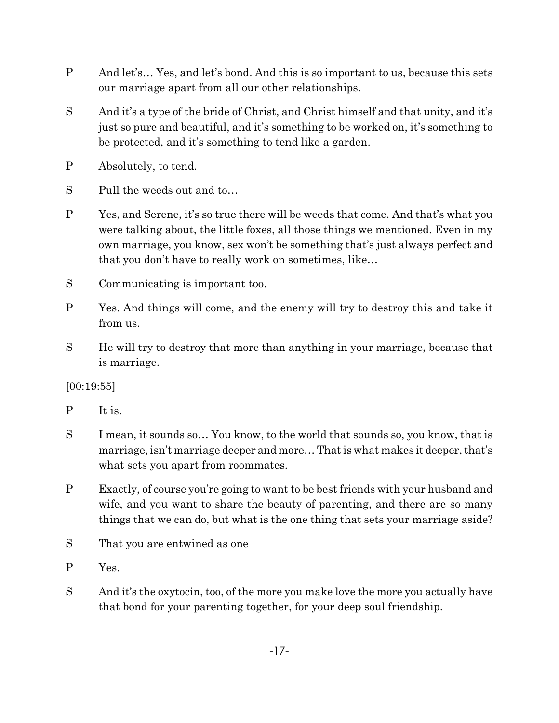- P And let's… Yes, and let's bond. And this is so important to us, because this sets our marriage apart from all our other relationships.
- S And it's a type of the bride of Christ, and Christ himself and that unity, and it's just so pure and beautiful, and it's something to be worked on, it's something to be protected, and it's something to tend like a garden.
- P Absolutely, to tend.
- S Pull the weeds out and to…
- P Yes, and Serene, it's so true there will be weeds that come. And that's what you were talking about, the little foxes, all those things we mentioned. Even in my own marriage, you know, sex won't be something that's just always perfect and that you don't have to really work on sometimes, like…
- S Communicating is important too.
- P Yes. And things will come, and the enemy will try to destroy this and take it from us.
- S He will try to destroy that more than anything in your marriage, because that is marriage.

[00:19:55]

- P It is.
- S I mean, it sounds so… You know, to the world that sounds so, you know, that is marriage, isn't marriage deeper and more… That is what makes it deeper, that's what sets you apart from roommates.
- P Exactly, of course you're going to want to be best friends with your husband and wife, and you want to share the beauty of parenting, and there are so many things that we can do, but what is the one thing that sets your marriage aside?
- S That you are entwined as one
- P Yes.
- S And it's the oxytocin, too, of the more you make love the more you actually have that bond for your parenting together, for your deep soul friendship.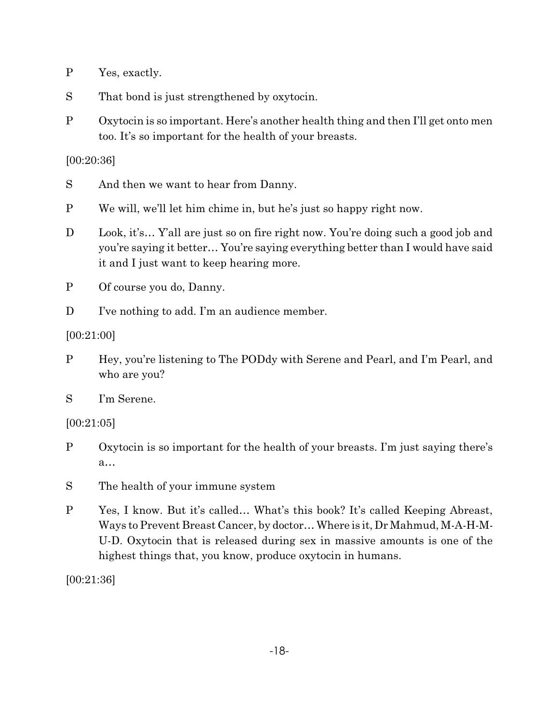- P Yes, exactly.
- S That bond is just strengthened by oxytocin.
- P Oxytocin is so important. Here's another health thing and then I'll get onto men too. It's so important for the health of your breasts.

[00:20:36]

- S And then we want to hear from Danny.
- P We will, we'll let him chime in, but he's just so happy right now.
- D Look, it's... Y'all are just so on fire right now. You're doing such a good job and you're saying it better… You're saying everything better than I would have said it and I just want to keep hearing more.
- P Of course you do, Danny.
- D I've nothing to add. I'm an audience member.

[00:21:00]

P Hey, you're listening to The PODdy with Serene and Pearl, and I'm Pearl, and who are you?

S I'm Serene.

[00:21:05]

- P Oxytocin is so important for the health of your breasts. I'm just saying there's a…
- S The health of your immune system
- P Yes, I know. But it's called… What's this book? It's called Keeping Abreast, Ways to Prevent Breast Cancer, by doctor… Where is it, Dr Mahmud, M-A-H-M-U-D. Oxytocin that is released during sex in massive amounts is one of the highest things that, you know, produce oxytocin in humans.

[00:21:36]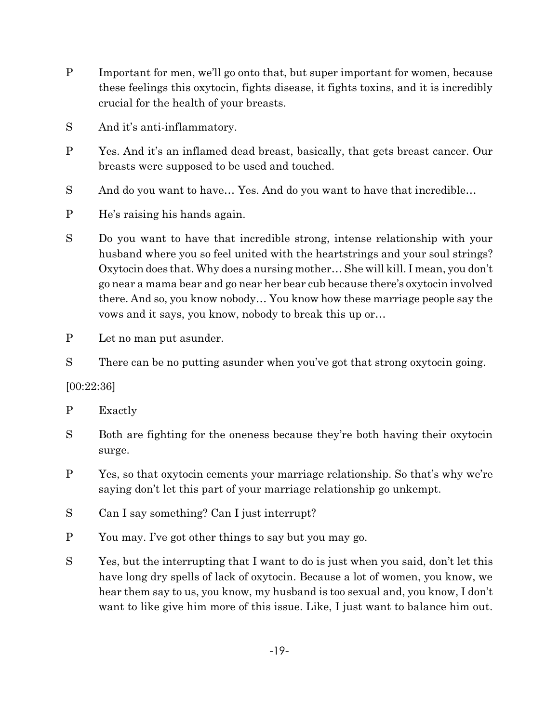- P Important for men, we'll go onto that, but super important for women, because these feelings this oxytocin, fights disease, it fights toxins, and it is incredibly crucial for the health of your breasts.
- S And it's anti-inflammatory.
- P Yes. And it's an inflamed dead breast, basically, that gets breast cancer. Our breasts were supposed to be used and touched.
- S And do you want to have... Yes. And do you want to have that incredible...
- P He's raising his hands again.
- S Do you want to have that incredible strong, intense relationship with your husband where you so feel united with the heartstrings and your soul strings? Oxytocin does that. Why does a nursing mother… She will kill. I mean, you don't go near a mama bear and go near her bear cub because there's oxytocin involved there. And so, you know nobody… You know how these marriage people say the vows and it says, you know, nobody to break this up or…
- P Let no man put asunder.
- S There can be no putting asunder when you've got that strong oxytocin going.

## [00:22:36]

- P Exactly
- S Both are fighting for the oneness because they're both having their oxytocin surge.
- P Yes, so that oxytocin cements your marriage relationship. So that's why we're saying don't let this part of your marriage relationship go unkempt.
- S Can I say something? Can I just interrupt?
- P You may. I've got other things to say but you may go.
- S Yes, but the interrupting that I want to do is just when you said, don't let this have long dry spells of lack of oxytocin. Because a lot of women, you know, we hear them say to us, you know, my husband is too sexual and, you know, I don't want to like give him more of this issue. Like, I just want to balance him out.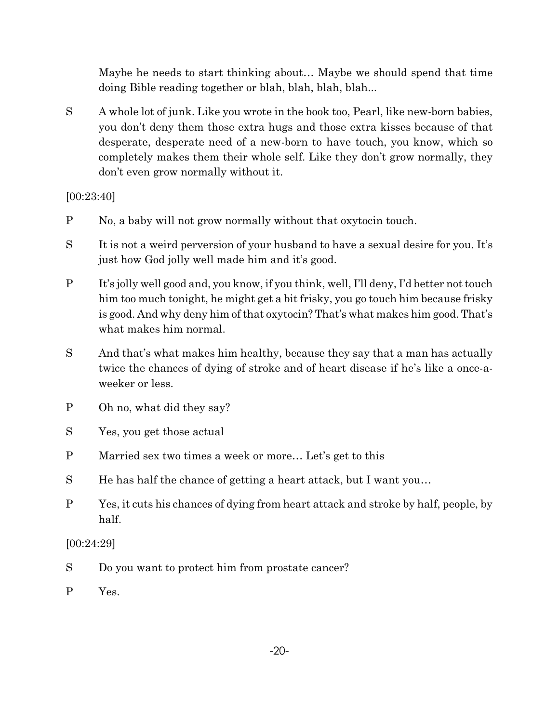Maybe he needs to start thinking about… Maybe we should spend that time doing Bible reading together or blah, blah, blah, blah...

S A whole lot of junk. Like you wrote in the book too, Pearl, like new-born babies, you don't deny them those extra hugs and those extra kisses because of that desperate, desperate need of a new-born to have touch, you know, which so completely makes them their whole self. Like they don't grow normally, they don't even grow normally without it.

[00:23:40]

- P No, a baby will not grow normally without that oxytocin touch.
- S It is not a weird perversion of your husband to have a sexual desire for you. It's just how God jolly well made him and it's good.
- P It's jolly well good and, you know, if you think, well, I'll deny, I'd better not touch him too much tonight, he might get a bit frisky, you go touch him because frisky is good. And why deny him of that oxytocin? That's what makes him good. That's what makes him normal.
- S And that's what makes him healthy, because they say that a man has actually twice the chances of dying of stroke and of heart disease if he's like a once-aweeker or less.
- P Oh no, what did they say?
- S Yes, you get those actual
- P Married sex two times a week or more… Let's get to this
- S He has half the chance of getting a heart attack, but I want you…
- P Yes, it cuts his chances of dying from heart attack and stroke by half, people, by half.

[00:24:29]

- S Do you want to protect him from prostate cancer?
- P Yes.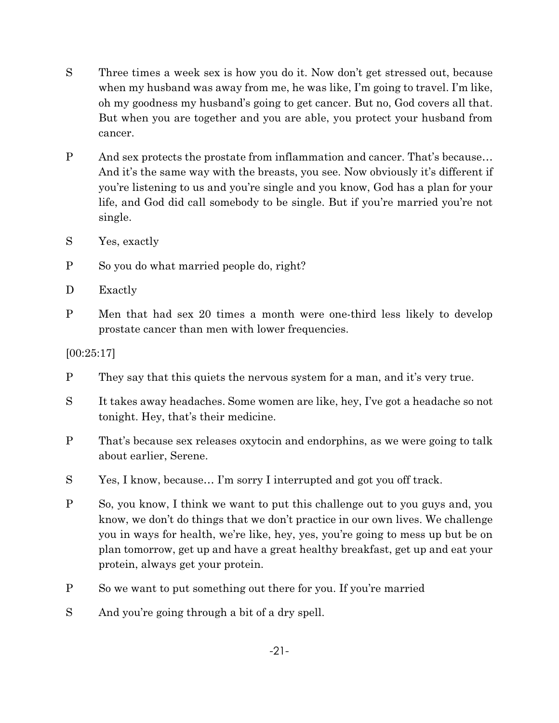- S Three times a week sex is how you do it. Now don't get stressed out, because when my husband was away from me, he was like, I'm going to travel. I'm like, oh my goodness my husband's going to get cancer. But no, God covers all that. But when you are together and you are able, you protect your husband from cancer.
- P And sex protects the prostate from inflammation and cancer. That's because… And it's the same way with the breasts, you see. Now obviously it's different if you're listening to us and you're single and you know, God has a plan for your life, and God did call somebody to be single. But if you're married you're not single.
- S Yes, exactly
- P So you do what married people do, right?
- D Exactly
- P Men that had sex 20 times a month were one-third less likely to develop prostate cancer than men with lower frequencies.

[00:25:17]

- P They say that this quiets the nervous system for a man, and it's very true.
- S It takes away headaches. Some women are like, hey, I've got a headache so not tonight. Hey, that's their medicine.
- P That's because sex releases oxytocin and endorphins, as we were going to talk about earlier, Serene.
- S Yes, I know, because… I'm sorry I interrupted and got you off track.
- P So, you know, I think we want to put this challenge out to you guys and, you know, we don't do things that we don't practice in our own lives. We challenge you in ways for health, we're like, hey, yes, you're going to mess up but be on plan tomorrow, get up and have a great healthy breakfast, get up and eat your protein, always get your protein.
- P So we want to put something out there for you. If you're married
- S And you're going through a bit of a dry spell.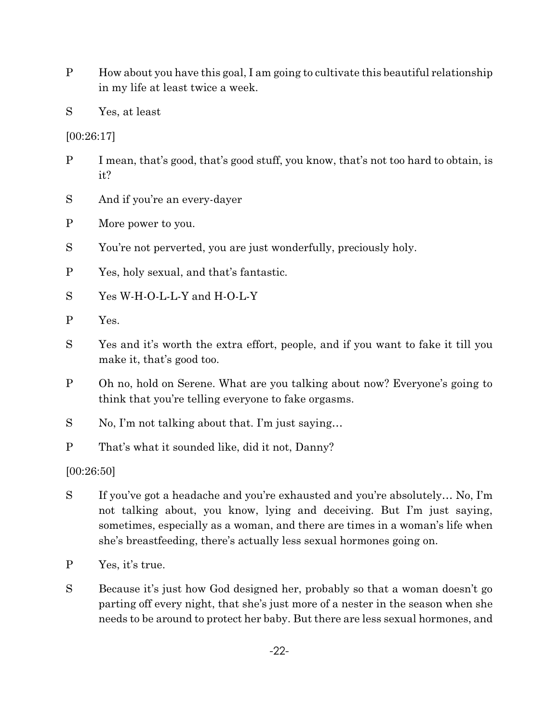P How about you have this goal, I am going to cultivate this beautiful relationship in my life at least twice a week.

S Yes, at least

[00:26:17]

- P I mean, that's good, that's good stuff, you know, that's not too hard to obtain, is it?
- S And if you're an every-dayer
- P More power to you.
- S You're not perverted, you are just wonderfully, preciously holy.
- P Yes, holy sexual, and that's fantastic.
- S Yes W-H-O-L-L-Y and H-O-L-Y
- P Yes.
- S Yes and it's worth the extra effort, people, and if you want to fake it till you make it, that's good too.
- P Oh no, hold on Serene. What are you talking about now? Everyone's going to think that you're telling everyone to fake orgasms.
- S No, I'm not talking about that. I'm just saying…
- P That's what it sounded like, did it not, Danny?

[00:26:50]

- S If you've got a headache and you're exhausted and you're absolutely… No, I'm not talking about, you know, lying and deceiving. But I'm just saying, sometimes, especially as a woman, and there are times in a woman's life when she's breastfeeding, there's actually less sexual hormones going on.
- P Yes, it's true.
- S Because it's just how God designed her, probably so that a woman doesn't go parting off every night, that she's just more of a nester in the season when she needs to be around to protect her baby. But there are less sexual hormones, and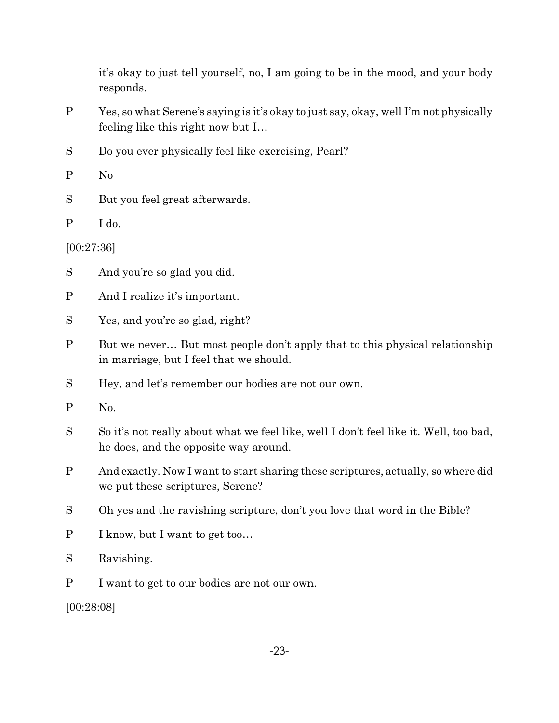it's okay to just tell yourself, no, I am going to be in the mood, and your body responds.

- P Yes, so what Serene's saying is it's okay to just say, okay, well I'm not physically feeling like this right now but I…
- S Do you ever physically feel like exercising, Pearl?
- P No
- S But you feel great afterwards.
- P I do.

[00:27:36]

- S And you're so glad you did.
- P And I realize it's important.
- S Yes, and you're so glad, right?
- P But we never… But most people don't apply that to this physical relationship in marriage, but I feel that we should.
- S Hey, and let's remember our bodies are not our own.
- P No.
- S So it's not really about what we feel like, well I don't feel like it. Well, too bad, he does, and the opposite way around.
- P And exactly. Now I want to start sharing these scriptures, actually, so where did we put these scriptures, Serene?
- S Oh yes and the ravishing scripture, don't you love that word in the Bible?
- P I know, but I want to get too…
- S Ravishing.
- P I want to get to our bodies are not our own.

[00:28:08]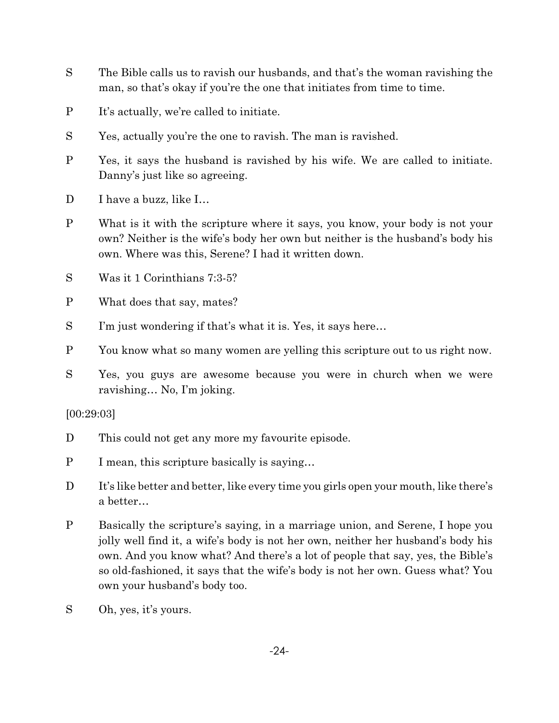- S The Bible calls us to ravish our husbands, and that's the woman ravishing the man, so that's okay if you're the one that initiates from time to time.
- P It's actually, we're called to initiate.
- S Yes, actually you're the one to ravish. The man is ravished.
- P Yes, it says the husband is ravished by his wife. We are called to initiate. Danny's just like so agreeing.
- D I have a buzz, like I...
- P What is it with the scripture where it says, you know, your body is not your own? Neither is the wife's body her own but neither is the husband's body his own. Where was this, Serene? I had it written down.
- S Was it 1 Corinthians 7:3-5?
- P What does that say, mates?
- S I'm just wondering if that's what it is. Yes, it says here...
- P You know what so many women are yelling this scripture out to us right now.
- S Yes, you guys are awesome because you were in church when we were ravishing… No, I'm joking.

## [00:29:03]

- D This could not get any more my favourite episode.
- P I mean, this scripture basically is saying…
- D It's like better and better, like every time you girls open your mouth, like there's a better…
- P Basically the scripture's saying, in a marriage union, and Serene, I hope you jolly well find it, a wife's body is not her own, neither her husband's body his own. And you know what? And there's a lot of people that say, yes, the Bible's so old-fashioned, it says that the wife's body is not her own. Guess what? You own your husband's body too.
- S Oh, yes, it's yours.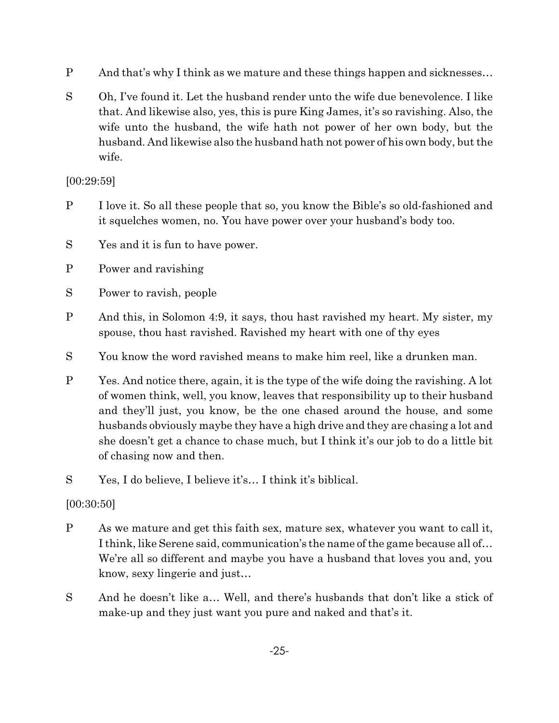- P And that's why I think as we mature and these things happen and sicknesses…
- S Oh, I've found it. Let the husband render unto the wife due benevolence. I like that. And likewise also, yes, this is pure King James, it's so ravishing. Also, the wife unto the husband, the wife hath not power of her own body, but the husband. And likewise also the husband hath not power of his own body, but the wife.

## [00:29:59]

- P I love it. So all these people that so, you know the Bible's so old-fashioned and it squelches women, no. You have power over your husband's body too.
- S Yes and it is fun to have power.
- P Power and ravishing
- S Power to ravish, people
- P And this, in Solomon 4:9, it says, thou hast ravished my heart. My sister, my spouse, thou hast ravished. Ravished my heart with one of thy eyes
- S You know the word ravished means to make him reel, like a drunken man.
- P Yes. And notice there, again, it is the type of the wife doing the ravishing. A lot of women think, well, you know, leaves that responsibility up to their husband and they'll just, you know, be the one chased around the house, and some husbands obviously maybe they have a high drive and they are chasing a lot and she doesn't get a chance to chase much, but I think it's our job to do a little bit of chasing now and then.
- S Yes, I do believe, I believe it's… I think it's biblical.

## [00:30:50]

- P As we mature and get this faith sex, mature sex, whatever you want to call it, I think, like Serene said, communication's the name of the game because all of… We're all so different and maybe you have a husband that loves you and, you know, sexy lingerie and just…
- S And he doesn't like a… Well, and there's husbands that don't like a stick of make-up and they just want you pure and naked and that's it.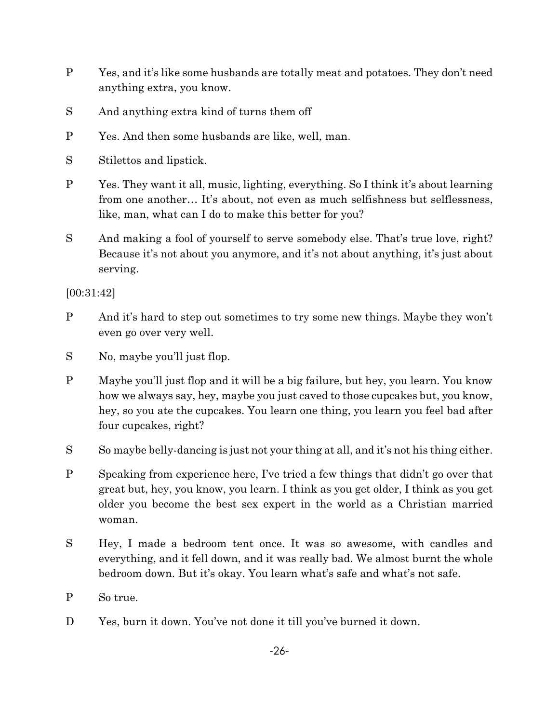- P Yes, and it's like some husbands are totally meat and potatoes. They don't need anything extra, you know.
- S And anything extra kind of turns them off
- P Yes. And then some husbands are like, well, man.
- S Stilettos and lipstick.
- P Yes. They want it all, music, lighting, everything. So I think it's about learning from one another… It's about, not even as much selfishness but selflessness, like, man, what can I do to make this better for you?
- S And making a fool of yourself to serve somebody else. That's true love, right? Because it's not about you anymore, and it's not about anything, it's just about serving.

[00:31:42]

- P And it's hard to step out sometimes to try some new things. Maybe they won't even go over very well.
- S No, maybe you'll just flop.
- P Maybe you'll just flop and it will be a big failure, but hey, you learn. You know how we always say, hey, maybe you just caved to those cupcakes but, you know, hey, so you ate the cupcakes. You learn one thing, you learn you feel bad after four cupcakes, right?
- S So maybe belly-dancing is just not your thing at all, and it's not his thing either.
- P Speaking from experience here, I've tried a few things that didn't go over that great but, hey, you know, you learn. I think as you get older, I think as you get older you become the best sex expert in the world as a Christian married woman.
- S Hey, I made a bedroom tent once. It was so awesome, with candles and everything, and it fell down, and it was really bad. We almost burnt the whole bedroom down. But it's okay. You learn what's safe and what's not safe.
- P So true.
- D Yes, burn it down. You've not done it till you've burned it down.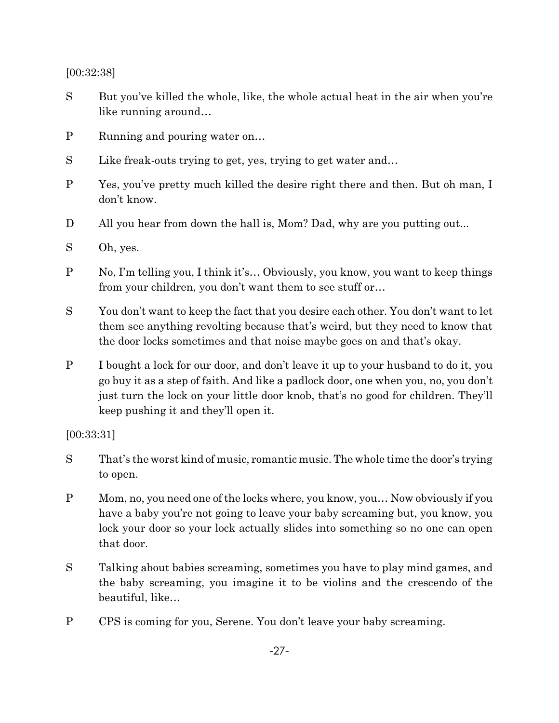[00:32:38]

- S But you've killed the whole, like, the whole actual heat in the air when you're like running around…
- P Running and pouring water on…
- S Like freak-outs trying to get, yes, trying to get water and...
- P Yes, you've pretty much killed the desire right there and then. But oh man, I don't know.
- D All you hear from down the hall is, Mom? Dad, why are you putting out...
- S Oh, yes.
- P No, I'm telling you, I think it's… Obviously, you know, you want to keep things from your children, you don't want them to see stuff or…
- S You don't want to keep the fact that you desire each other. You don't want to let them see anything revolting because that's weird, but they need to know that the door locks sometimes and that noise maybe goes on and that's okay.
- P I bought a lock for our door, and don't leave it up to your husband to do it, you go buy it as a step of faith. And like a padlock door, one when you, no, you don't just turn the lock on your little door knob, that's no good for children. They'll keep pushing it and they'll open it.

[00:33:31]

- S That's the worst kind of music, romantic music. The whole time the door's trying to open.
- P Mom, no, you need one of the locks where, you know, you… Now obviously if you have a baby you're not going to leave your baby screaming but, you know, you lock your door so your lock actually slides into something so no one can open that door.
- S Talking about babies screaming, sometimes you have to play mind games, and the baby screaming, you imagine it to be violins and the crescendo of the beautiful, like…
- P CPS is coming for you, Serene. You don't leave your baby screaming.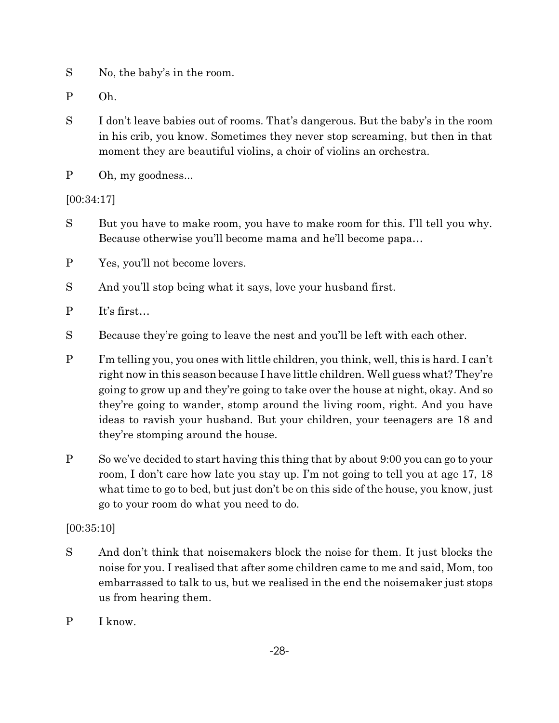- S No, the baby's in the room.
- P Oh.
- S I don't leave babies out of rooms. That's dangerous. But the baby's in the room in his crib, you know. Sometimes they never stop screaming, but then in that moment they are beautiful violins, a choir of violins an orchestra.
- P Oh, my goodness...

[00:34:17]

- S But you have to make room, you have to make room for this. I'll tell you why. Because otherwise you'll become mama and he'll become papa…
- P Yes, you'll not become lovers.
- S And you'll stop being what it says, love your husband first.
- P It's first…
- S Because they're going to leave the nest and you'll be left with each other.
- P I'm telling you, you ones with little children, you think, well, this is hard. I can't right now in this season because I have little children. Well guess what? They're going to grow up and they're going to take over the house at night, okay. And so they're going to wander, stomp around the living room, right. And you have ideas to ravish your husband. But your children, your teenagers are 18 and they're stomping around the house.
- P So we've decided to start having this thing that by about 9:00 you can go to your room, I don't care how late you stay up. I'm not going to tell you at age 17, 18 what time to go to bed, but just don't be on this side of the house, you know, just go to your room do what you need to do.

## [00:35:10]

- S And don't think that noisemakers block the noise for them. It just blocks the noise for you. I realised that after some children came to me and said, Mom, too embarrassed to talk to us, but we realised in the end the noisemaker just stops us from hearing them.
- P I know.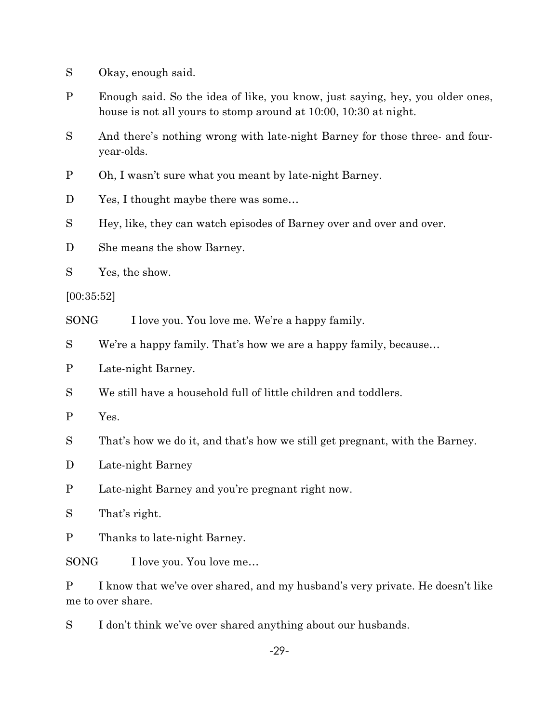- S Okay, enough said.
- P Enough said. So the idea of like, you know, just saying, hey, you older ones, house is not all yours to stomp around at 10:00, 10:30 at night.
- S And there's nothing wrong with late-night Barney for those three- and fouryear-olds.
- P Oh, I wasn't sure what you meant by late-night Barney.
- D Yes, I thought maybe there was some...
- S Hey, like, they can watch episodes of Barney over and over and over.
- D She means the show Barney.
- S Yes, the show.

[00:35:52]

SONG I love you. You love me. We're a happy family.

- S We're a happy family. That's how we are a happy family, because…
- P Late-night Barney.
- S We still have a household full of little children and toddlers.

P Yes.

S That's how we do it, and that's how we still get pregnant, with the Barney.

- D Late-night Barney
- P Late-night Barney and you're pregnant right now.

S That's right.

P Thanks to late-night Barney.

SONG I love you. You love me...

P I know that we've over shared, and my husband's very private. He doesn't like me to over share.

S I don't think we've over shared anything about our husbands.

-29-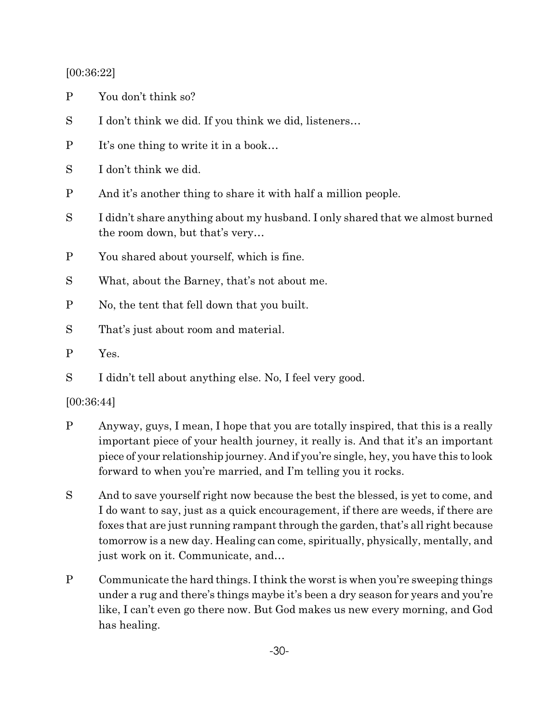## [00:36:22]

- P You don't think so?
- S I don't think we did. If you think we did, listeners...
- P It's one thing to write it in a book...
- S I don't think we did.
- P And it's another thing to share it with half a million people.
- S I didn't share anything about my husband. I only shared that we almost burned the room down, but that's very…
- P You shared about yourself, which is fine.
- S What, about the Barney, that's not about me.
- P No, the tent that fell down that you built.
- S That's just about room and material.
- P Yes.
- S I didn't tell about anything else. No, I feel very good.

## [00:36:44]

- P Anyway, guys, I mean, I hope that you are totally inspired, that this is a really important piece of your health journey, it really is. And that it's an important piece of your relationship journey. And if you're single, hey, you have this to look forward to when you're married, and I'm telling you it rocks.
- S And to save yourself right now because the best the blessed, is yet to come, and I do want to say, just as a quick encouragement, if there are weeds, if there are foxes that are just running rampant through the garden, that's all right because tomorrow is a new day. Healing can come, spiritually, physically, mentally, and just work on it. Communicate, and…
- P Communicate the hard things. I think the worst is when you're sweeping things under a rug and there's things maybe it's been a dry season for years and you're like, I can't even go there now. But God makes us new every morning, and God has healing.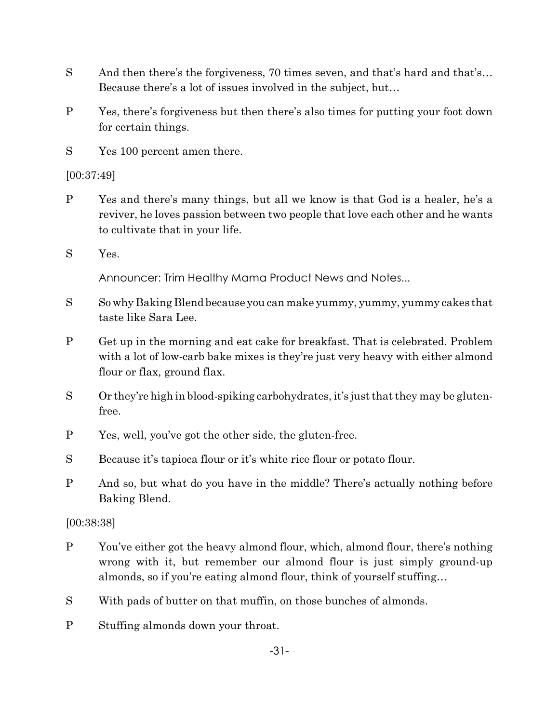- S And then there's the forgiveness, 70 times seven, and that's hard and that's... Because there's a lot of issues involved in the subject, but…
- P Yes, there's forgiveness but then there's also times for putting your foot down for certain things.
- S Yes 100 percent amen there.

[00:37:49]

- P Yes and there's many things, but all we know is that God is a healer, he's a reviver, he loves passion between two people that love each other and he wants to cultivate that in your life.
- S Yes.

Announcer: Trim Healthy Mama Product News and Notes...

- S So why Baking Blend because you can make yummy, yummy, yummy cakes that taste like Sara Lee.
- P Get up in the morning and eat cake for breakfast. That is celebrated. Problem with a lot of low-carb bake mixes is they're just very heavy with either almond flour or flax, ground flax.
- S Or they're high in blood-spiking carbohydrates, it's just that they may be glutenfree.
- P Yes, well, you've got the other side, the gluten-free.
- S Because it's tapioca flour or it's white rice flour or potato flour.
- P And so, but what do you have in the middle? There's actually nothing before Baking Blend.

[00:38:38]

- P You've either got the heavy almond flour, which, almond flour, there's nothing wrong with it, but remember our almond flour is just simply ground-up almonds, so if you're eating almond flour, think of yourself stuffing…
- S With pads of butter on that muffin, on those bunches of almonds.
- P Stuffing almonds down your throat.